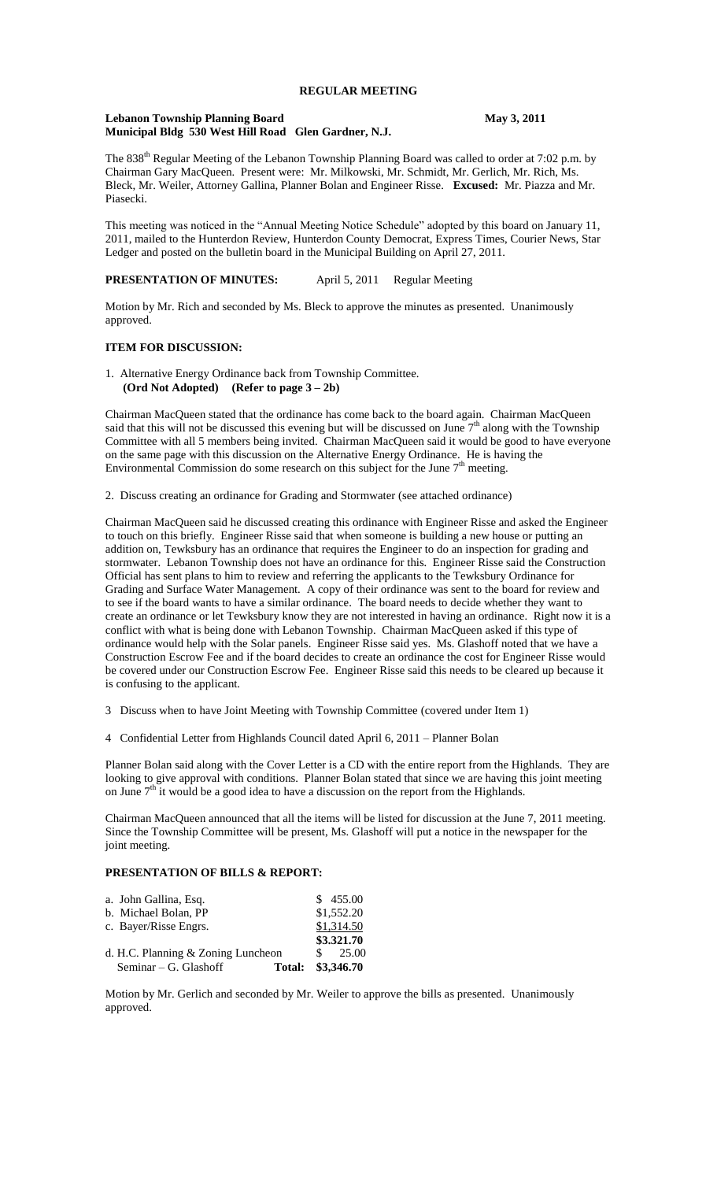## **REGULAR MEETING**

#### Lebanon Township Planning Board<br>
May 3, 2011 **Municipal Bldg 530 West Hill Road Glen Gardner, N.J.**

The 838<sup>th</sup> Regular Meeting of the Lebanon Township Planning Board was called to order at 7:02 p.m. by Chairman Gary MacQueen. Present were: Mr. Milkowski, Mr. Schmidt, Mr. Gerlich, Mr. Rich, Ms. Bleck, Mr. Weiler, Attorney Gallina, Planner Bolan and Engineer Risse. **Excused:** Mr. Piazza and Mr. Piasecki.

This meeting was noticed in the "Annual Meeting Notice Schedule" adopted by this board on January 11, 2011, mailed to the Hunterdon Review, Hunterdon County Democrat, Express Times, Courier News, Star Ledger and posted on the bulletin board in the Municipal Building on April 27, 2011.

**PRESENTATION OF MINUTES:** April 5, 2011 Regular Meeting

Motion by Mr. Rich and seconded by Ms. Bleck to approve the minutes as presented. Unanimously approved.

## **ITEM FOR DISCUSSION:**

1. Alternative Energy Ordinance back from Township Committee. **(Ord Not Adopted) (Refer to page 3 – 2b)**

Chairman MacQueen stated that the ordinance has come back to the board again. Chairman MacQueen said that this will not be discussed this evening but will be discussed on June  $7<sup>th</sup>$  along with the Township Committee with all 5 members being invited. Chairman MacQueen said it would be good to have everyone on the same page with this discussion on the Alternative Energy Ordinance. He is having the Environmental Commission do some research on this subject for the June  $7<sup>th</sup>$  meeting.

2. Discuss creating an ordinance for Grading and Stormwater (see attached ordinance)

Chairman MacQueen said he discussed creating this ordinance with Engineer Risse and asked the Engineer to touch on this briefly. Engineer Risse said that when someone is building a new house or putting an addition on, Tewksbury has an ordinance that requires the Engineer to do an inspection for grading and stormwater. Lebanon Township does not have an ordinance for this. Engineer Risse said the Construction Official has sent plans to him to review and referring the applicants to the Tewksbury Ordinance for Grading and Surface Water Management. A copy of their ordinance was sent to the board for review and to see if the board wants to have a similar ordinance. The board needs to decide whether they want to create an ordinance or let Tewksbury know they are not interested in having an ordinance. Right now it is a conflict with what is being done with Lebanon Township. Chairman MacQueen asked if this type of ordinance would help with the Solar panels. Engineer Risse said yes. Ms. Glashoff noted that we have a Construction Escrow Fee and if the board decides to create an ordinance the cost for Engineer Risse would be covered under our Construction Escrow Fee. Engineer Risse said this needs to be cleared up because it is confusing to the applicant.

- 3 Discuss when to have Joint Meeting with Township Committee (covered under Item 1)
- 4 Confidential Letter from Highlands Council dated April 6, 2011 Planner Bolan

Planner Bolan said along with the Cover Letter is a CD with the entire report from the Highlands. They are looking to give approval with conditions. Planner Bolan stated that since we are having this joint meeting on June  $7<sup>th</sup>$  it would be a good idea to have a discussion on the report from the Highlands.

Chairman MacQueen announced that all the items will be listed for discussion at the June 7, 2011 meeting. Since the Township Committee will be present, Ms. Glashoff will put a notice in the newspaper for the joint meeting.

#### **PRESENTATION OF BILLS & REPORT:**

| a. John Gallina, Esq.                    | \$455.00           |
|------------------------------------------|--------------------|
| b. Michael Bolan, PP                     | \$1,552.20         |
| c. Bayer/Risse Engrs.                    | \$1,314.50         |
|                                          | \$3.321.70         |
| d. H.C. Planning & Zoning Luncheon       | $\frac{\$}{25.00}$ |
| Seminar $-$ G. Glashoff<br><b>Total:</b> | \$3,346.70         |

Motion by Mr. Gerlich and seconded by Mr. Weiler to approve the bills as presented. Unanimously approved.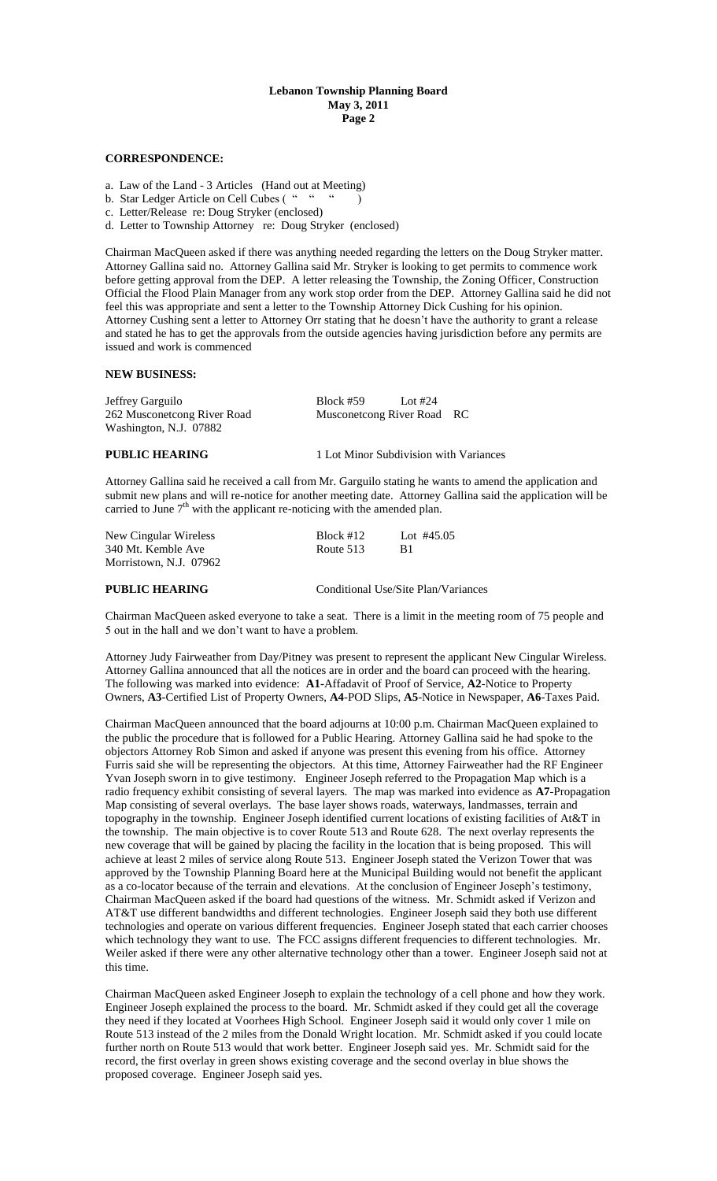#### **Lebanon Township Planning Board May 3, 2011 Page 2**

## **CORRESPONDENCE:**

a. Law of the Land - 3 Articles (Hand out at Meeting)

b. Star Ledger Article on Cell Cubes (""")

- c. Letter/Release re: Doug Stryker (enclosed)
- d. Letter to Township Attorney re: Doug Stryker (enclosed)

Chairman MacQueen asked if there was anything needed regarding the letters on the Doug Stryker matter. Attorney Gallina said no. Attorney Gallina said Mr. Stryker is looking to get permits to commence work before getting approval from the DEP. A letter releasing the Township, the Zoning Officer, Construction Official the Flood Plain Manager from any work stop order from the DEP. Attorney Gallina said he did not feel this was appropriate and sent a letter to the Township Attorney Dick Cushing for his opinion. Attorney Cushing sent a letter to Attorney Orr stating that he doesn't have the authority to grant a release and stated he has to get the approvals from the outside agencies having jurisdiction before any permits are issued and work is commenced

## **NEW BUSINESS:**

| Jeffrey Garguilo            | Block #59<br>Lot #24                   |  |
|-----------------------------|----------------------------------------|--|
| 262 Musconetcong River Road | Musconetcong River Road RC             |  |
| Washington, N.J. 07882      |                                        |  |
| <b>PUBLIC HEARING</b>       | 1 Lot Minor Subdivision with Variances |  |

Attorney Gallina said he received a call from Mr. Garguilo stating he wants to amend the application and submit new plans and will re-notice for another meeting date. Attorney Gallina said the application will be carried to June  $7<sup>th</sup>$  with the applicant re-noticing with the amended plan.

| New Cingular Wireless  | $Block$ #12 | Lot $\#45.05$ |
|------------------------|-------------|---------------|
| 340 Mt. Kemble Ave     | Route 513   | <b>B</b> 1    |
| Morristown, N.J. 07962 |             |               |

**PUBLIC HEARING** Conditional Use/Site Plan/Variances

Chairman MacQueen asked everyone to take a seat. There is a limit in the meeting room of 75 people and 5 out in the hall and we don't want to have a problem.

Attorney Judy Fairweather from Day/Pitney was present to represent the applicant New Cingular Wireless. Attorney Gallina announced that all the notices are in order and the board can proceed with the hearing. The following was marked into evidence: **A1-**Affadavit of Proof of Service, **A2**-Notice to Property Owners, **A3**-Certified List of Property Owners, **A4**-POD Slips, **A5**-Notice in Newspaper, **A6**-Taxes Paid.

Chairman MacQueen announced that the board adjourns at 10:00 p.m. Chairman MacQueen explained to the public the procedure that is followed for a Public Hearing. Attorney Gallina said he had spoke to the objectors Attorney Rob Simon and asked if anyone was present this evening from his office. Attorney Furris said she will be representing the objectors. At this time, Attorney Fairweather had the RF Engineer Yvan Joseph sworn in to give testimony. Engineer Joseph referred to the Propagation Map which is a radio frequency exhibit consisting of several layers. The map was marked into evidence as **A7**-Propagation Map consisting of several overlays. The base layer shows roads, waterways, landmasses, terrain and topography in the township. Engineer Joseph identified current locations of existing facilities of At&T in the township. The main objective is to cover Route 513 and Route 628. The next overlay represents the new coverage that will be gained by placing the facility in the location that is being proposed. This will achieve at least 2 miles of service along Route 513. Engineer Joseph stated the Verizon Tower that was approved by the Township Planning Board here at the Municipal Building would not benefit the applicant as a co-locator because of the terrain and elevations. At the conclusion of Engineer Joseph's testimony, Chairman MacQueen asked if the board had questions of the witness. Mr. Schmidt asked if Verizon and AT&T use different bandwidths and different technologies. Engineer Joseph said they both use different technologies and operate on various different frequencies. Engineer Joseph stated that each carrier chooses which technology they want to use. The FCC assigns different frequencies to different technologies. Mr. Weiler asked if there were any other alternative technology other than a tower. Engineer Joseph said not at this time.

Chairman MacQueen asked Engineer Joseph to explain the technology of a cell phone and how they work. Engineer Joseph explained the process to the board. Mr. Schmidt asked if they could get all the coverage they need if they located at Voorhees High School. Engineer Joseph said it would only cover 1 mile on Route 513 instead of the 2 miles from the Donald Wright location. Mr. Schmidt asked if you could locate further north on Route 513 would that work better. Engineer Joseph said yes. Mr. Schmidt said for the record, the first overlay in green shows existing coverage and the second overlay in blue shows the proposed coverage. Engineer Joseph said yes.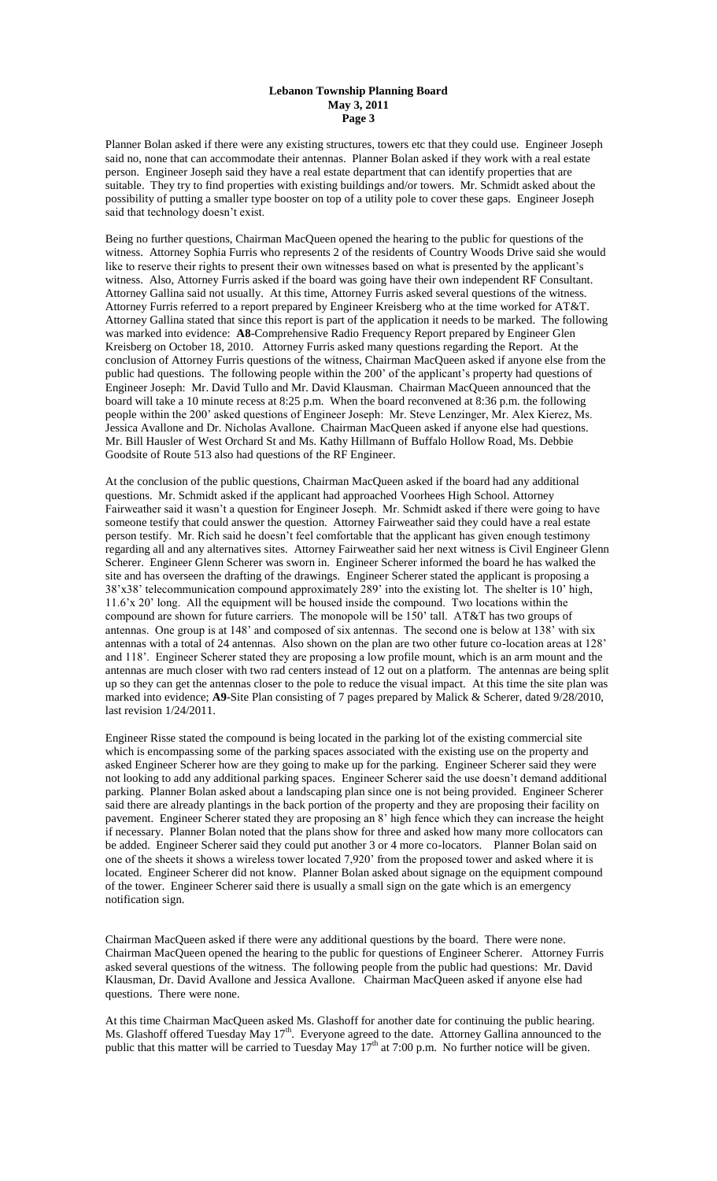#### **Lebanon Township Planning Board May 3, 2011 Page 3**

Planner Bolan asked if there were any existing structures, towers etc that they could use. Engineer Joseph said no, none that can accommodate their antennas. Planner Bolan asked if they work with a real estate person. Engineer Joseph said they have a real estate department that can identify properties that are suitable. They try to find properties with existing buildings and/or towers. Mr. Schmidt asked about the possibility of putting a smaller type booster on top of a utility pole to cover these gaps. Engineer Joseph said that technology doesn't exist.

Being no further questions, Chairman MacQueen opened the hearing to the public for questions of the witness. Attorney Sophia Furris who represents 2 of the residents of Country Woods Drive said she would like to reserve their rights to present their own witnesses based on what is presented by the applicant's witness. Also, Attorney Furris asked if the board was going have their own independent RF Consultant. Attorney Gallina said not usually. At this time, Attorney Furris asked several questions of the witness. Attorney Furris referred to a report prepared by Engineer Kreisberg who at the time worked for AT&T. Attorney Gallina stated that since this report is part of the application it needs to be marked. The following was marked into evidence: **A8**-Comprehensive Radio Frequency Report prepared by Engineer Glen Kreisberg on October 18, 2010. Attorney Furris asked many questions regarding the Report. At the conclusion of Attorney Furris questions of the witness, Chairman MacQueen asked if anyone else from the public had questions. The following people within the 200' of the applicant's property had questions of Engineer Joseph: Mr. David Tullo and Mr. David Klausman. Chairman MacQueen announced that the board will take a 10 minute recess at 8:25 p.m. When the board reconvened at 8:36 p.m. the following people within the 200' asked questions of Engineer Joseph: Mr. Steve Lenzinger, Mr. Alex Kierez, Ms. Jessica Avallone and Dr. Nicholas Avallone. Chairman MacQueen asked if anyone else had questions. Mr. Bill Hausler of West Orchard St and Ms. Kathy Hillmann of Buffalo Hollow Road, Ms. Debbie Goodsite of Route 513 also had questions of the RF Engineer.

At the conclusion of the public questions, Chairman MacQueen asked if the board had any additional questions. Mr. Schmidt asked if the applicant had approached Voorhees High School. Attorney Fairweather said it wasn't a question for Engineer Joseph. Mr. Schmidt asked if there were going to have someone testify that could answer the question. Attorney Fairweather said they could have a real estate person testify. Mr. Rich said he doesn't feel comfortable that the applicant has given enough testimony regarding all and any alternatives sites. Attorney Fairweather said her next witness is Civil Engineer Glenn Scherer. Engineer Glenn Scherer was sworn in. Engineer Scherer informed the board he has walked the site and has overseen the drafting of the drawings. Engineer Scherer stated the applicant is proposing a 38'x38' telecommunication compound approximately 289' into the existing lot. The shelter is 10' high, 11.6'x 20' long. All the equipment will be housed inside the compound. Two locations within the compound are shown for future carriers. The monopole will be 150' tall. AT&T has two groups of antennas. One group is at 148' and composed of six antennas. The second one is below at 138' with six antennas with a total of 24 antennas. Also shown on the plan are two other future co-location areas at 128' and 118'. Engineer Scherer stated they are proposing a low profile mount, which is an arm mount and the antennas are much closer with two rad centers instead of 12 out on a platform. The antennas are being split up so they can get the antennas closer to the pole to reduce the visual impact. At this time the site plan was marked into evidence; **A9**-Site Plan consisting of 7 pages prepared by Malick & Scherer, dated 9/28/2010, last revision 1/24/2011.

Engineer Risse stated the compound is being located in the parking lot of the existing commercial site which is encompassing some of the parking spaces associated with the existing use on the property and asked Engineer Scherer how are they going to make up for the parking. Engineer Scherer said they were not looking to add any additional parking spaces. Engineer Scherer said the use doesn't demand additional parking. Planner Bolan asked about a landscaping plan since one is not being provided. Engineer Scherer said there are already plantings in the back portion of the property and they are proposing their facility on pavement. Engineer Scherer stated they are proposing an 8' high fence which they can increase the height if necessary. Planner Bolan noted that the plans show for three and asked how many more collocators can be added. Engineer Scherer said they could put another 3 or 4 more co-locators. Planner Bolan said on one of the sheets it shows a wireless tower located 7,920' from the proposed tower and asked where it is located. Engineer Scherer did not know. Planner Bolan asked about signage on the equipment compound of the tower. Engineer Scherer said there is usually a small sign on the gate which is an emergency notification sign.

Chairman MacQueen asked if there were any additional questions by the board. There were none. Chairman MacQueen opened the hearing to the public for questions of Engineer Scherer. Attorney Furris asked several questions of the witness. The following people from the public had questions: Mr. David Klausman, Dr. David Avallone and Jessica Avallone. Chairman MacQueen asked if anyone else had questions. There were none.

At this time Chairman MacQueen asked Ms. Glashoff for another date for continuing the public hearing. Ms. Glashoff offered Tuesday May  $17<sup>th</sup>$ . Everyone agreed to the date. Attorney Gallina announced to the public that this matter will be carried to Tuesday May  $17<sup>th</sup>$  at 7:00 p.m. No further notice will be given.